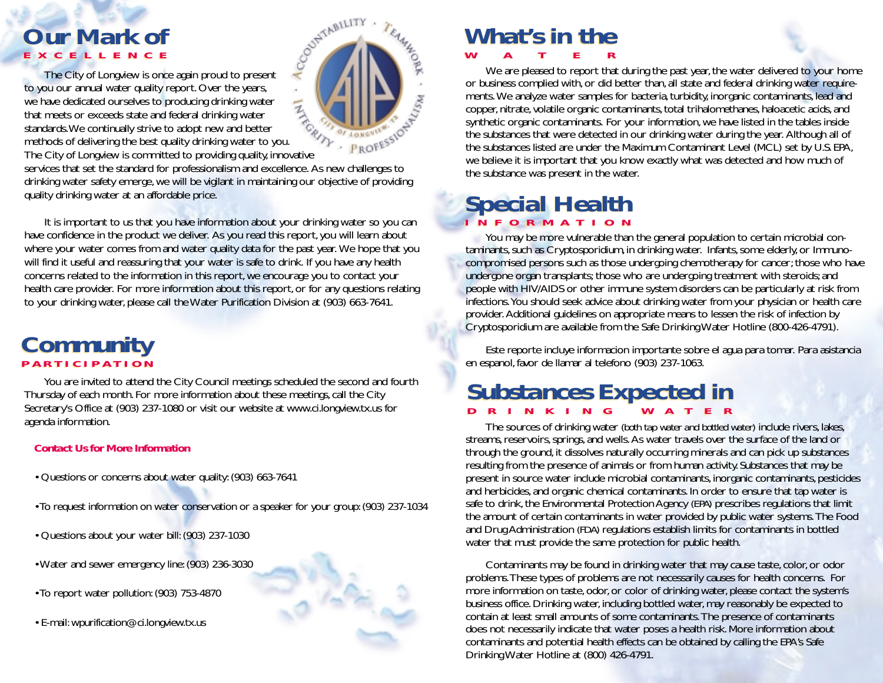# *Our Mark of Our Mark of* **EXCELLENCE EXCELLENCE**

The City of Longview is once again proud to present to you our annual water quality report. Over the years, we have dedicated ourselves to producing drinking water that meets or exceeds state and federal drinking water standards.We continually strive to adopt new and better methods of delivering the best quality drinking water to you. That Theory of Longview is continually strive to adopt Hew and 2000<br>methods of delivering the best quality drinking water to you.<br>The City of Longview is committed to providing quality, innovative Services that set the standard for professionalism and excellence. As new challenges to



drinking water safety emerge, we will be vigilant in maintaining our objective of providing quality drinking water at an affordable price.

It is important to us that you have information about your drinking water so you can have confidence in the product we deliver. As you read this report, you will learn about where your water comes from and water quality data for the past year. We hope that you will find it useful and reassuring that your water is safe to drink. If you have any health concerns related to the information in this report, we encourage you to contact your health care provider. For more information about this report, or for any questions relating to your drinking water, please call the Water Purification Division at (903) 663-7641.

# *Community Community* **PARTICIPATION PARTICIPATION**

You are invited to attend the City Council meetings scheduled the second and fourth Thursday of each month. For more information about these meetings, call the City Secretary's Office at (903) 237-1080 or visit our website at www.ci.longview.tx.us for agenda information.

#### *Contact Us for More Information*

- Questions or concerns about water quality: (903) 663-7641
- To request information on water conservation or a speaker for your group: (903) 237-1034
- Questions about your water bill: (903) 237-1030
- Water and sewer emergency line: (903) 236-3030
- To report water pollution: (903) 753-4870
- E-mail: wpurification@ci.longview.tx.us

# *What's in the What's in the*

**WATER WATER**

We are pleased to report that during the past year, the water delivered to your home or business complied with, or did better than, all state and federal drinking water requirements. We analyze water samples for bacteria, turbidity, inorganic contaminants, lead and copper, nitrate, volatile organic contaminants, total trihalomethanes, haloacetic acids, and synthetic organic contaminants. For your information, we have listed in the tables inside the substances that were detected in our drinking water during the year. Although all of the substances listed are under the Maximum Contaminant Level (MCL) set by U.S. EPA, we believe it is important that you know exactly what was detected and how much of the substance was present in the water.

# *Special Health Special Health* **INFORMATION INFORMATION**

You may be more vulnerable than the general population to certain microbial contaminants, such as Cryptosporidium, in drinking water. Infants, some elderly, or Immunocompromised persons such as those undergoing chemotherapy for cancer; those who have undergone organ transplants; those who are undergoing treatment with steroids; and people with HIV/AIDS or other immune system disorders can be particularly at risk from infections.You should seek advice about drinking water from your physician or health care provider. Additional guidelines on appropriate means to lessen the risk of infection by Cryptosporidium are available from the Safe Drinking Water Hotline (800-426-4791).

Este reporte incluye informacion importante sobre el agua para tomar. Para asistancia en espanol, favor de llamar al telefono (903) 237-1063.

### *Substances Expected in Substances Expected in* **DRINKING WATER DRINKING WATER**

The sources of drinking water *(both tap water and bottled water)* include rivers, lakes, streams, reservoirs, springs, and wells. As water travels over the surface of the land or through the ground, it dissolves naturally occurring minerals and can pick up substances resulting from the presence of animals or from human activity. Substances that may be present in source water include microbial contaminants, inorganic contaminants, pesticides and herbicides, and organic chemical contaminants. In order to ensure that tap water is safe to drink, the Environmental Protection Agency *(EPA)* prescribes regulations that limit the amount of certain contaminants in water provided by public water systems. The Food and Drug Administration *(FDA)* regulations establish limits for contaminants in bottled water that must provide the same protection for public health.

Contaminants may be found in drinking water that may cause taste, color, or odor problems.These types of problems are not necessarily causes for health concerns. For more information on taste, odor, or color of drinking water, please contact the system's business office. Drinking water, including bottled water, may reasonably be expected to contain at least small amounts of some contaminants. The presence of contaminants does not necessarily indicate that water poses a health risk. More information about contaminants and potential health effects can be obtained by calling the EPA's Safe Drinking Water Hotline at (800) 426-4791.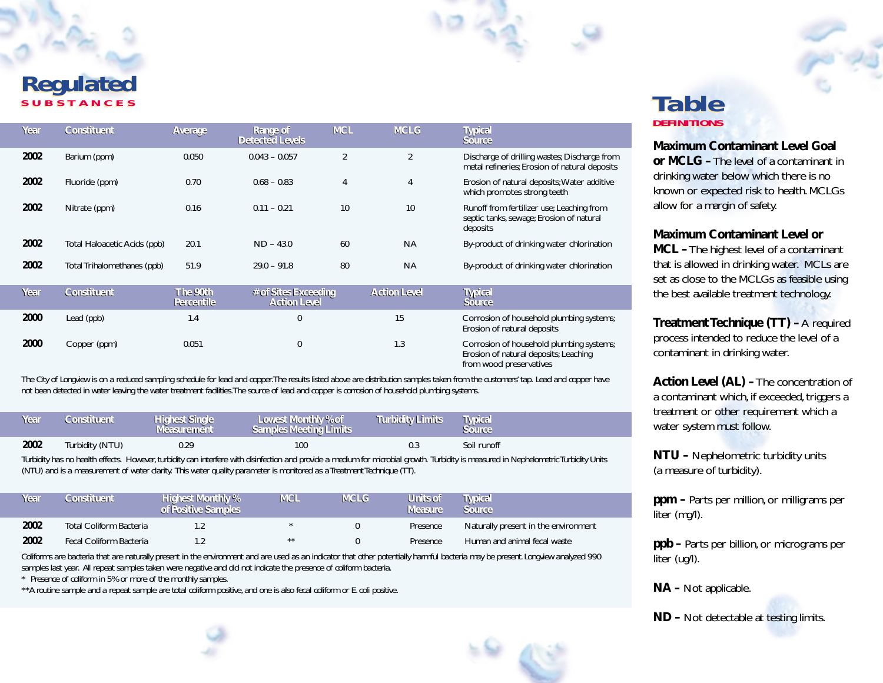#### *Regulated* **SUBSTANCES** *Regulated* **SUBSTANCES** *Table*

| Year | Constituent                  | Average                | Range of<br><b>Detected Levels</b>          | <b>MCL</b> | <b>MCLG</b>         | <b>Typical</b><br>Source                                                                                     |
|------|------------------------------|------------------------|---------------------------------------------|------------|---------------------|--------------------------------------------------------------------------------------------------------------|
| 2002 | Barium (ppm)                 | 0.050                  | $0.043 - 0.057$                             | 2          | 2                   | Discharge of drilling wastes; Discharge from<br>metal refineries; Erosion of natural deposits                |
| 2002 | Fluoride (ppm)               | 0.70                   | $0.68 - 0.83$                               | 4          | 4                   | Erosion of natural deposits; Water additive<br>which promotes strong teeth                                   |
| 2002 | Nitrate (ppm)                | 0.16                   | $0.11 - 0.21$                               | 10         | 10                  | Runoff from fertilizer use; Leaching from<br>septic tanks, sewage; Erosion of natural<br>deposits            |
| 2002 | Total Haloacetic Acids (ppb) | 20.1                   | $ND - 43.0$                                 | 60         | <b>NA</b>           | By-product of drinking water chlorination                                                                    |
| 2002 | Total Trihalomethanes (ppb)  | 51.9                   | $29.0 - 91.8$                               | 80         | <b>NA</b>           | By-product of drinking water chlorination                                                                    |
| Year | Constituent                  | The 90th<br>Percentile | # of Sites Exceeding<br><b>Action Level</b> |            | <b>Action Level</b> | <b>Typical</b><br>Source                                                                                     |
| 2000 | Lead (ppb)                   | 1.4                    | 0                                           |            | 15                  | Corrosion of household plumbing systems;<br>Erosion of natural deposits                                      |
| 2000 | Copper (ppm)                 | 0.051                  | 0                                           |            | 1.3                 | Corrosion of household plumbing systems;<br>Erosion of natural deposits; Leaching<br>from wood preservatives |

*The City of Longview is on a reduced sampling schedule for lead and copper.The results listed above are distribution samples taken from the customers' tap. Lead and copper have not been detected in water leaving the water treatment facilities.The source of lead and copper is corrosion of household plumbing systems.*

| Year | Constituent     | <b>Highest Single</b><br>Measurement | Lowest Monthly % of<br><b>Samples Meeting Limits</b> | Turbidity Limits | <b>Typical</b><br>source |
|------|-----------------|--------------------------------------|------------------------------------------------------|------------------|--------------------------|
| 2002 | Turbidity (NTU) | 0.29                                 | 100                                                  | 0.3              | Soil runoff              |

Turbidity has no health effects. However, turbidity can interfere with disinfection and provide a medium for microbial growth. Turbidity is measured in Nephelometric Turbidity Units *(NTU) and is a measurement of water clarity. This water quality parameter is monitored as a Treatment Technique (TT).*

| Year | Constituent             | <b>Highest Monthly %</b><br>of Positive Samples | <b>WCL</b> | <b>MCLG</b> | Units of<br><b>Measure</b> | Typical<br>Source                    |
|------|-------------------------|-------------------------------------------------|------------|-------------|----------------------------|--------------------------------------|
| 2002 | Total Coliform Bacteria |                                                 |            |             | Presence                   | Naturally present in the environment |
| 2002 | Fecal Coliform Bacteria |                                                 | $***$      |             | Presence                   | Human and animal fecal waste         |

*Coliforms are bacteria that are naturally present in the environment and are used as an indicator that other potentially harmful bacteria may be present. Longview analyzed 990 samples last year. All repeat samples taken were negative and did not indicate the presence of coliform bacteria.*

*\* Presence of coliform in 5% or more of the monthly samples.*

*\*\*A routine sample and a repeat sample are total coliform positive, and one is also fecal coliform or E. coli positive.*

## **DEFINITIONS DEFINITIONS** *Table*

**Maximum Contaminant Level Goal or MCLG –**The level of a contaminant in drinking water below which there is no known or expected risk to health. MCLGs allow for a margin of safety.

**Maximum Contaminant Level or** 

**MCL –**The highest level of a contaminant that is allowed in drinking water. MCLs are set as close to the MCLGs as feasible using the best available treatment technology.

**Treatment Technique (TT) –** A required process intended to reduce the level of a contaminant in drinking water.

**Action Level (AL) –**The concentration of a contaminant which, if exceeded, triggers a treatment or other requirement which a water system must follow.

**NTU –** Nephelometric turbidity units (a measure of turbidity).

**ppm –** Parts per million, or milligrams per liter (mg/l).

**ppb –** Parts per billion, or micrograms per liter (ug/l).

**NA –** Not applicable.

**ND –** Not detectable at testing limits.



10 %

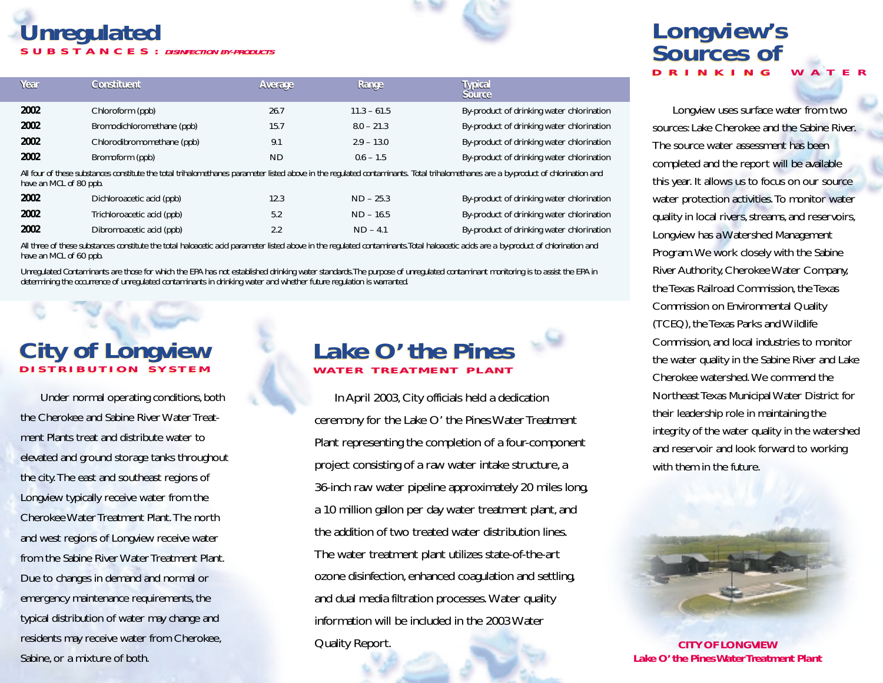# *Unregulated Unregulated* **SUBSTANCES: DISINFECTION BY-PRODUCTS SUBSTANCES: DISINFECTION BY-PRODUCTS**

|  |   | V. |  |
|--|---|----|--|
|  | u |    |  |
|  |   |    |  |
|  |   |    |  |
|  |   |    |  |

| Year                                                                                                                                                                               | Constituent                | Average | Range         | <b>Typical</b><br>Source                  |  |
|------------------------------------------------------------------------------------------------------------------------------------------------------------------------------------|----------------------------|---------|---------------|-------------------------------------------|--|
| 2002                                                                                                                                                                               | Chloroform (ppb)           | 26.7    | $11.3 - 61.5$ | By-product of drinking water chlorination |  |
| 2002                                                                                                                                                                               | Bromodichloromethane (ppb) | 15.7    | $8.0 - 21.3$  | By-product of drinking water chlorination |  |
| 2002                                                                                                                                                                               | Chlorodibromomethane (ppb) | 9.1     | $2.9 - 13.0$  | By-product of drinking water chlorination |  |
| 2002                                                                                                                                                                               | Bromoform (ppb)            | ND      | $0.6 - 1.5$   | By-product of drinking water chlorination |  |
| All four of these substances constitute the total tribolemethanes noromater listed above in the requisted conteminants. Total tribolemethanes are a by product of oblarination and |                            |         |               |                                           |  |

*All four of these substances constitute the total trihalomethanes parameter listed above in the regulated contaminants. Total trihalomethanes are a by-product of chlorination and have an MCL of 80 ppb.*

| 2002 | Dichloroacetic acid (ppb)  | 12.3 | $ND - 25.3$ | By-product of drinking water chlorination |
|------|----------------------------|------|-------------|-------------------------------------------|
| 2002 | Trichloroacetic acid (ppb) | 5.2  | $ND - 16.5$ | By-product of drinking water chlorination |
| 2002 | Dibromoacetic acid (ppb)   | 2.2  | $ND - 4.1$  | By-product of drinking water chlorination |

*All three of these substances constitute the total haloacetic acid parameter listed above in the regulated contaminants.Total haloacetic acids are a by-product of chlorination and have an MCL of 60 ppb.*

*Unregulated Contaminants are those for which the EPA has not established drinking water standards.The purpose of unregulated contaminant monitoring is to assist the EPA in determining the occurrence of unregulated contaminants in drinking water and whether future regulation is warranted.*

# *City of Longview* **DISTRIBUTION SYSTEM** *City of Longview* **DISTRIBUTION SYSTEM**

Under normal operating conditions, both the Cherokee and Sabine River Water Treatment Plants treat and distribute water to elevated and ground storage tanks throughout the city. The east and southeast regions of Longview typically receive water from the Cherokee Water Treatment Plant. The north and west regions of Longview receive water from the Sabine River Water Treatment Plant. Due to changes in demand and normal or emergency maintenance requirements, the typical distribution of water may change and residents may receive water from Cherokee, Sabine, or a mixture of both.

#### *Lake O' the Pines Lake O' the Pines* **WATER TREATMENT PLANT WATER TREATMENT PLANT**

In April 2003, City officials held a dedication ceremony for the Lake O' the Pines Water Treatment Plant representing the completion of a four-component project consisting of a raw water intake structure, <sup>a</sup> 36-inch raw water pipeline approximately 20 miles long, a 10 million gallon per day water treatment plant, and the addition of two treated water distribution lines. The water treatment plant utilizes state-of-the-art ozone disinfection, enhanced coagulation and settling, and dual media filtration processes. Water quality information will be included in the 2003 Water Quality Report.

# *Longview's Sources of Longview's Sources of* **DRINKING WATER DRINKING WATER**

Longview uses surface water from two sources: Lake Cherokee and the Sabine River. The source water assessment has been completed and the report will be available this year. It allows us to focus on our source water protection activities. To monitor water quality in local rivers, streams, and reservoirs, Longview has a Watershed Management Program.We work closely with the Sabine River Authority, Cherokee Water Company, the Texas Railroad Commission, the Texas Commission on Environmental Quality (TCEQ), the Texas Parks and Wildlife Commission, and local industries to monitor the water quality in the Sabine River and Lake Cherokee watershed. We commend the Northeast Texas Municipal Water District for their leadership role in maintaining the integrity of the water quality in the watershed and reservoir and look forward to working with them in the future.



*CITY OF LONGVIEW Lake O' the Pines Water Treatment Plant*